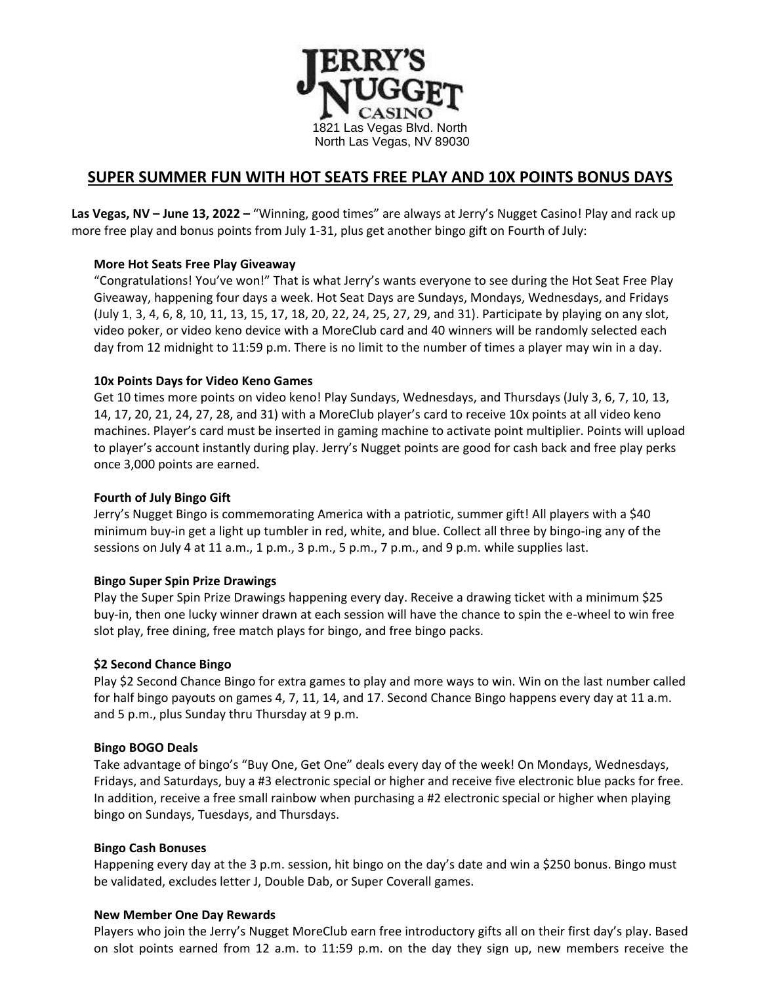

# **SUPER SUMMER FUN WITH HOT SEATS FREE PLAY AND 10X POINTS BONUS DAYS**

**Las Vegas, NV – June 13, 2022 –** "Winning, good times" are always at Jerry's Nugget Casino! Play and rack up more free play and bonus points from July 1-31, plus get another bingo gift on Fourth of July:

# **More Hot Seats Free Play Giveaway**

"Congratulations! You've won!" That is what Jerry's wants everyone to see during the Hot Seat Free Play Giveaway, happening four days a week. Hot Seat Days are Sundays, Mondays, Wednesdays, and Fridays (July 1, 3, 4, 6, 8, 10, 11, 13, 15, 17, 18, 20, 22, 24, 25, 27, 29, and 31). Participate by playing on any slot, video poker, or video keno device with a MoreClub card and 40 winners will be randomly selected each day from 12 midnight to 11:59 p.m. There is no limit to the number of times a player may win in a day.

### **10x Points Days for Video Keno Games**

Get 10 times more points on video keno! Play Sundays, Wednesdays, and Thursdays (July 3, 6, 7, 10, 13, 14, 17, 20, 21, 24, 27, 28, and 31) with a MoreClub player's card to receive 10x points at all video keno machines. Player's card must be inserted in gaming machine to activate point multiplier. Points will upload to player's account instantly during play. Jerry's Nugget points are good for cash back and free play perks once 3,000 points are earned.

## **Fourth of July Bingo Gift**

Jerry's Nugget Bingo is commemorating America with a patriotic, summer gift! All players with a \$40 minimum buy-in get a light up tumbler in red, white, and blue. Collect all three by bingo-ing any of the sessions on July 4 at 11 a.m., 1 p.m., 3 p.m., 5 p.m., 7 p.m., and 9 p.m. while supplies last.

### **Bingo Super Spin Prize Drawings**

Play the Super Spin Prize Drawings happening every day. Receive a drawing ticket with a minimum \$25 buy-in, then one lucky winner drawn at each session will have the chance to spin the e-wheel to win free slot play, free dining, free match plays for bingo, and free bingo packs.

### **\$2 Second Chance Bingo**

Play \$2 Second Chance Bingo for extra games to play and more ways to win. Win on the last number called for half bingo payouts on games 4, 7, 11, 14, and 17. Second Chance Bingo happens every day at 11 a.m. and 5 p.m., plus Sunday thru Thursday at 9 p.m.

### **Bingo BOGO Deals**

Take advantage of bingo's "Buy One, Get One" deals every day of the week! On Mondays, Wednesdays, Fridays, and Saturdays, buy a #3 electronic special or higher and receive five electronic blue packs for free. In addition, receive a free small rainbow when purchasing a #2 electronic special or higher when playing bingo on Sundays, Tuesdays, and Thursdays.

### **Bingo Cash Bonuses**

Happening every day at the 3 p.m. session, hit bingo on the day's date and win a \$250 bonus. Bingo must be validated, excludes letter J, Double Dab, or Super Coverall games.

### **New Member One Day Rewards**

Players who join the Jerry's Nugget MoreClub earn free introductory gifts all on their first day's play. Based on slot points earned from 12 a.m. to 11:59 p.m. on the day they sign up, new members receive the